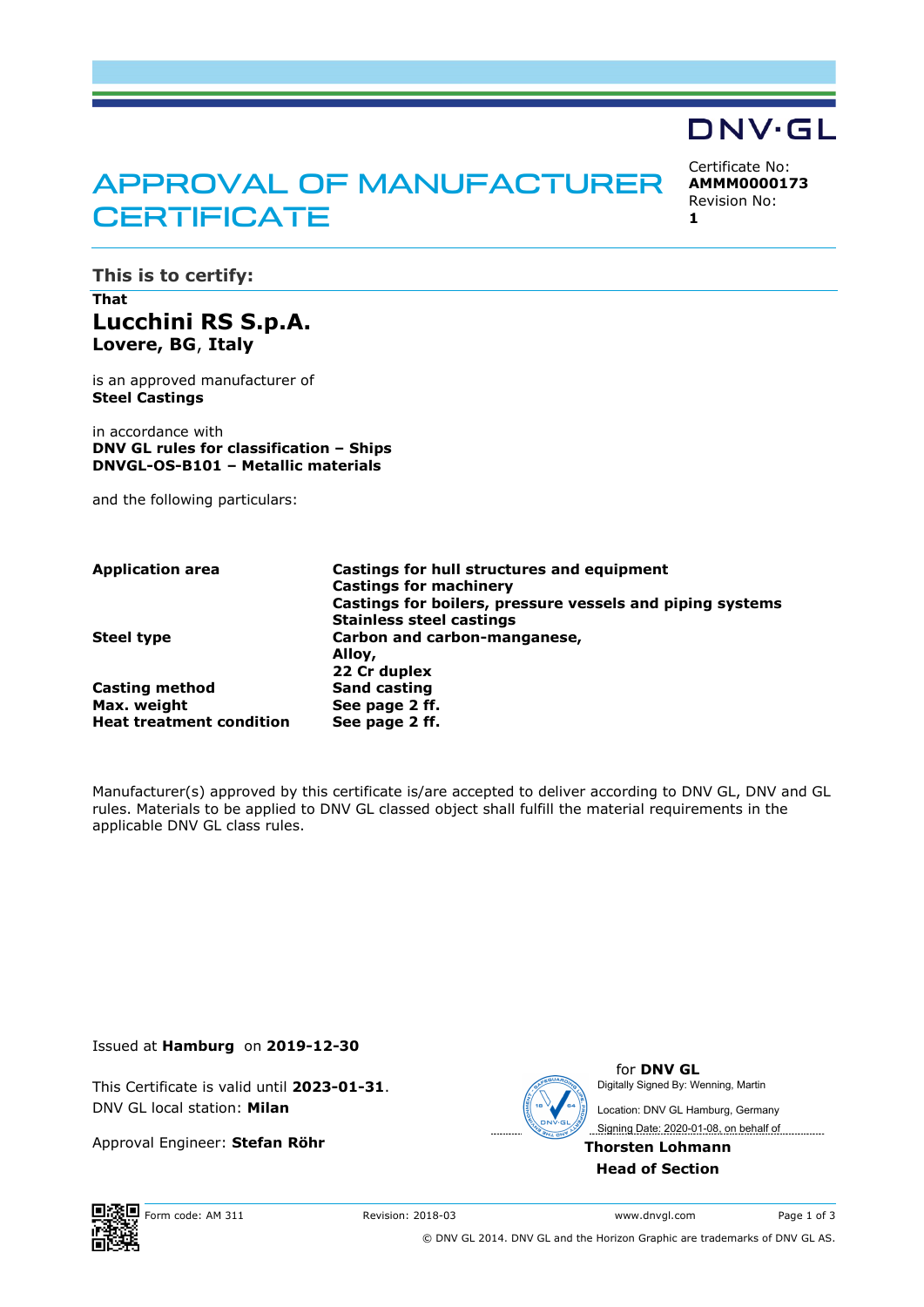# APPROVAL OF MANUFACTURER **CERTIFICATE**

Certificate No: **AMMM0000173** Revision No:

**DNV·GL** 

**1** 

**This is to certify:** 

# **That Lucchini RS S.p.A. Lovere, BG**, **Italy**

is an approved manufacturer of **Steel Castings**

in accordance with **DNV GL rules for classification – Ships DNVGL-OS-B101 – Metallic materials**

and the following particulars:

| Application area                | Castings for hull structures and equipment                |
|---------------------------------|-----------------------------------------------------------|
|                                 | <b>Castings for machinery</b>                             |
|                                 | Castings for boilers, pressure vessels and piping systems |
|                                 | <b>Stainless steel castings</b>                           |
| Steel type                      | Carbon and carbon-manganese,                              |
|                                 | Alloy,                                                    |
|                                 | 22 Cr duplex                                              |
| <b>Casting method</b>           | <b>Sand casting</b>                                       |
| Max. weight                     | See page 2 ff.                                            |
| <b>Heat treatment condition</b> | See page 2 ff.                                            |
|                                 |                                                           |

Manufacturer(s) approved by this certificate is/are accepted to deliver according to DNV GL, DNV and GL rules. Materials to be applied to DNV GL classed object shall fulfill the material requirements in the applicable DNV GL class rules.

Issued at **Hamburg** on **2019-12-30**

This Certificate is valid until **2023-01-31**. DNV GL local station: **Milan**

Approval Engineer: **Stefan Röhr**



for **DNV GL** Signing Date: 2020-01-08, on behalf of Digitally Signed By: Wenning, Martin Location: DNV GL Hamburg, Germany

**Thorsten Lohmann Head of Section**



Form code: AM 311 Revision: 2018-03 www.dnvgl.com Page 1 of 3

© DNV GL 2014. DNV GL and the Horizon Graphic are trademarks of DNV GL AS.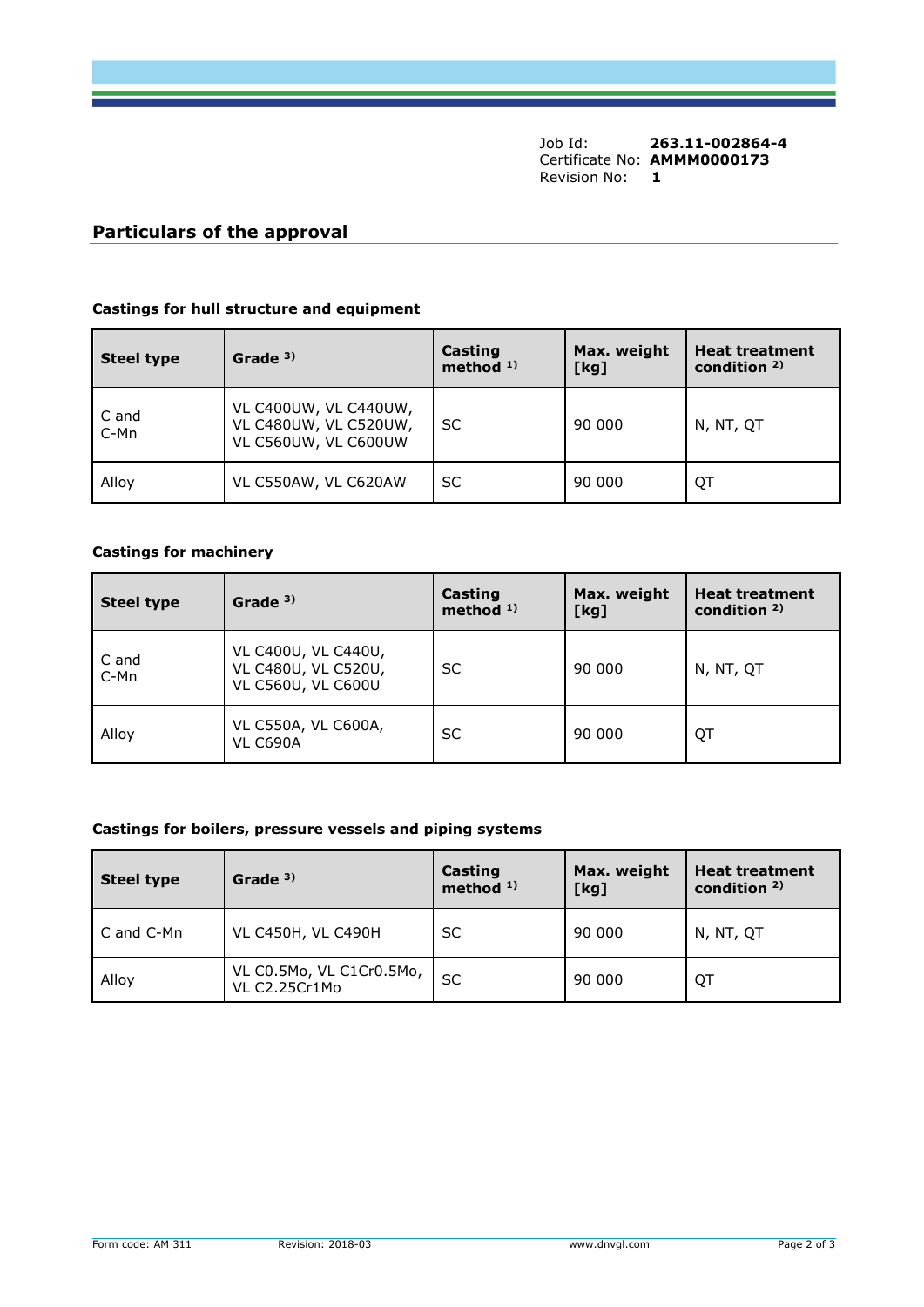Job Id: **263.11-002864-4** Certificate No: **AMMM0000173** Revision No: **1** 

## **Particulars of the approval**

#### **Castings for hull structure and equipment**

| <b>Steel type</b> | Grade $3)$                                                             | Casting<br>method $1$ ) | Max. weight<br>[kg] | <b>Heat treatment</b><br>condition $2$ ) |
|-------------------|------------------------------------------------------------------------|-------------------------|---------------------|------------------------------------------|
| C and<br>C-Mn     | VL C400UW, VL C440UW,<br>VL C480UW, VL C520UW,<br>VL C560UW, VL C600UW | SC                      | 90 000              | N, NT, OT                                |
| Alloy             | VL C550AW, VL C620AW                                                   | SC                      | 90 000              | QT                                       |

## **Castings for machinery**

| <b>Steel type</b> | Grade <sup>3)</sup>                                                     | Casting<br>method $1$ ) | Max. weight<br>[kg] | <b>Heat treatment</b><br>condition $2$ ) |
|-------------------|-------------------------------------------------------------------------|-------------------------|---------------------|------------------------------------------|
| C and<br>C-Mn     | VL C400U, VL C440U,<br>VL C480U, VL C520U,<br><b>VL C560U, VL C600U</b> | SC                      | 90 000              | N, NT, QT                                |
| Alloy             | VL C550A, VL C600A,<br><b>VL C690A</b>                                  | SC                      | 90 000              | QT                                       |

## **Castings for boilers, pressure vessels and piping systems**

| <b>Steel type</b> | Grade <sup>3)</sup>                       | Casting<br>method $1$ ) | Max. weight<br>[kg] | <b>Heat treatment</b><br>condition $2$ ) |
|-------------------|-------------------------------------------|-------------------------|---------------------|------------------------------------------|
| C and C-Mn        | <b>VL C450H, VL C490H</b>                 | SC.                     | 90 000              | N, NT, QT                                |
| Alloy             | VL C0.5Mo, VL C1Cr0.5Mo,<br>VL C2.25Cr1Mo | SC                      | 90 000              | QT                                       |